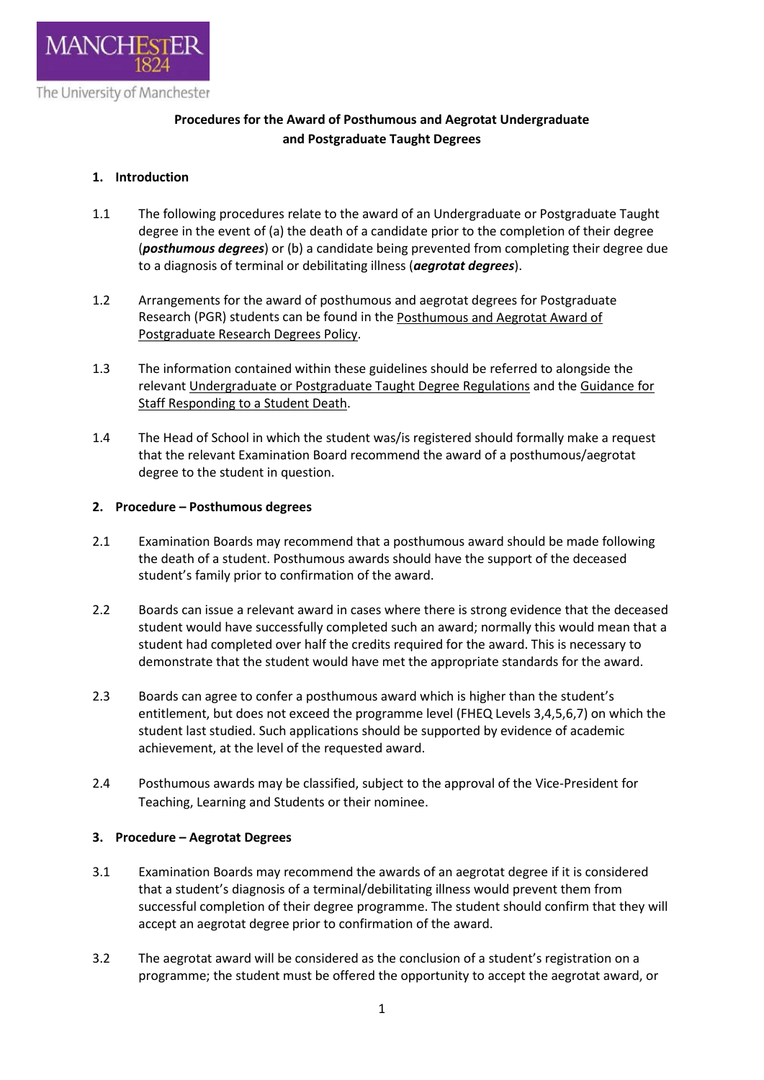

# **Procedures for the Award of Posthumous and Aegrotat Undergraduate and Postgraduate Taught Degrees**

## **1. Introduction**

- 1.1 The following procedures relate to the award of an Undergraduate or Postgraduate Taught degree in the event of (a) the death of a candidate prior to the completion of their degree (*posthumous degrees*) or (b) a candidate being prevented from completing their degree due to a diagnosis of terminal or debilitating illness (*aegrotat degrees*).
- 1.2 Arrangements for the award of posthumous and aegrotat degrees for Postgraduate Research (PGR) students can be found in the [Posthumous and Aegrotat Award of](http://documents.manchester.ac.uk/display.aspx?DocID=8481)  [Postgraduate Research Degrees Policy.](http://documents.manchester.ac.uk/display.aspx?DocID=8481)
- 1.3 The information contained within these guidelines should be referred to alongside the relevan[t Undergraduate or Postgraduate Taught Degree Regulations](http://www.tlso.manchester.ac.uk/degree-regulations/) and the [Guidance for](http://documents.manchester.ac.uk/display.aspx?DocID=9603)  [Staff Responding to a Student Death.](http://documents.manchester.ac.uk/display.aspx?DocID=9603)
- 1.4 The Head of School in which the student was/is registered should formally make a request that the relevant Examination Board recommend the award of a posthumous/aegrotat degree to the student in question.

### **2. Procedure – Posthumous degrees**

- 2.1 Examination Boards may recommend that a posthumous award should be made following the death of a student. Posthumous awards should have the support of the deceased student's family prior to confirmation of the award.
- 2.2 Boards can issue a relevant award in cases where there is strong evidence that the deceased student would have successfully completed such an award; normally this would mean that a student had completed over half the credits required for the award. This is necessary to demonstrate that the student would have met the appropriate standards for the award.
- 2.3 Boards can agree to confer a posthumous award which is higher than the student's entitlement, but does not exceed the programme level (FHEQ Levels 3,4,5,6,7) on which the student last studied. Such applications should be supported by evidence of academic achievement, at the level of the requested award.
- 2.4 Posthumous awards may be classified, subject to the approval of the Vice-President for Teaching, Learning and Students or their nominee.

### **3. Procedure – Aegrotat Degrees**

- 3.1 Examination Boards may recommend the awards of an aegrotat degree if it is considered that a student's diagnosis of a terminal/debilitating illness would prevent them from successful completion of their degree programme. The student should confirm that they will accept an aegrotat degree prior to confirmation of the award.
- 3.2 The aegrotat award will be considered as the conclusion of a student's registration on a programme; the student must be offered the opportunity to accept the aegrotat award, or